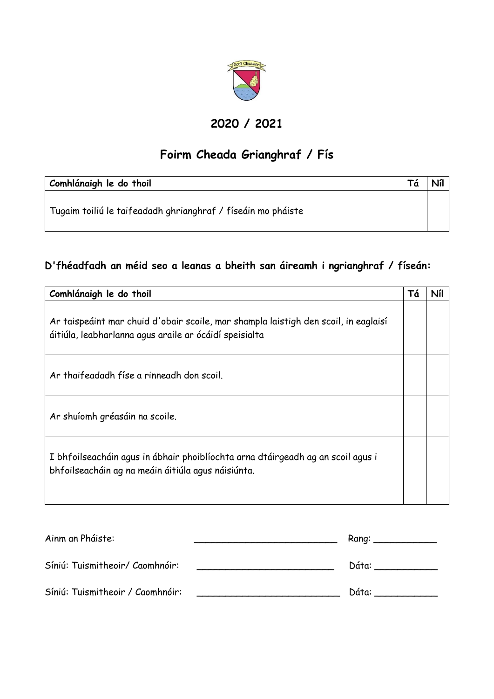

### **2020 / 2021**

# **Foirm Cheada Grianghraf / Fís**

| Comhlánaigh le do thoil                                      |  |
|--------------------------------------------------------------|--|
| Tugaim toiliú le taifeadadh ghrianghraf / físeáin mo pháiste |  |

### **D'fhéadfadh an méid seo a leanas a bheith san áireamh i ngrianghraf / físeán:**

| Comhlánaigh le do thoil                                                                                                                       | Τá | Níl |
|-----------------------------------------------------------------------------------------------------------------------------------------------|----|-----|
| Ar taispeáint mar chuid d'obair scoile, mar shampla laistigh den scoil, in eaglaisí<br>áitiúla, leabharlanna agus araile ar ócáidí speisialta |    |     |
| Ar thaifeadadh físe a rinneadh don scoil.                                                                                                     |    |     |
| Ar shuíomh gréasáin na scoile.                                                                                                                |    |     |
| I bhfoilseacháin agus in ábhair phoiblíochta arna dtáirgeadh ag an scoil agus i<br>bhfoilseacháin ag na meáin áitiúla agus náisiúnta.         |    |     |

| Ainm an Pháiste:                 | Rang: |
|----------------------------------|-------|
| Síniú: Tuismitheoir/ Caomhnóir:  | Dáta: |
| Síniú: Tuismitheoir / Caomhnóir: | Dáta: |